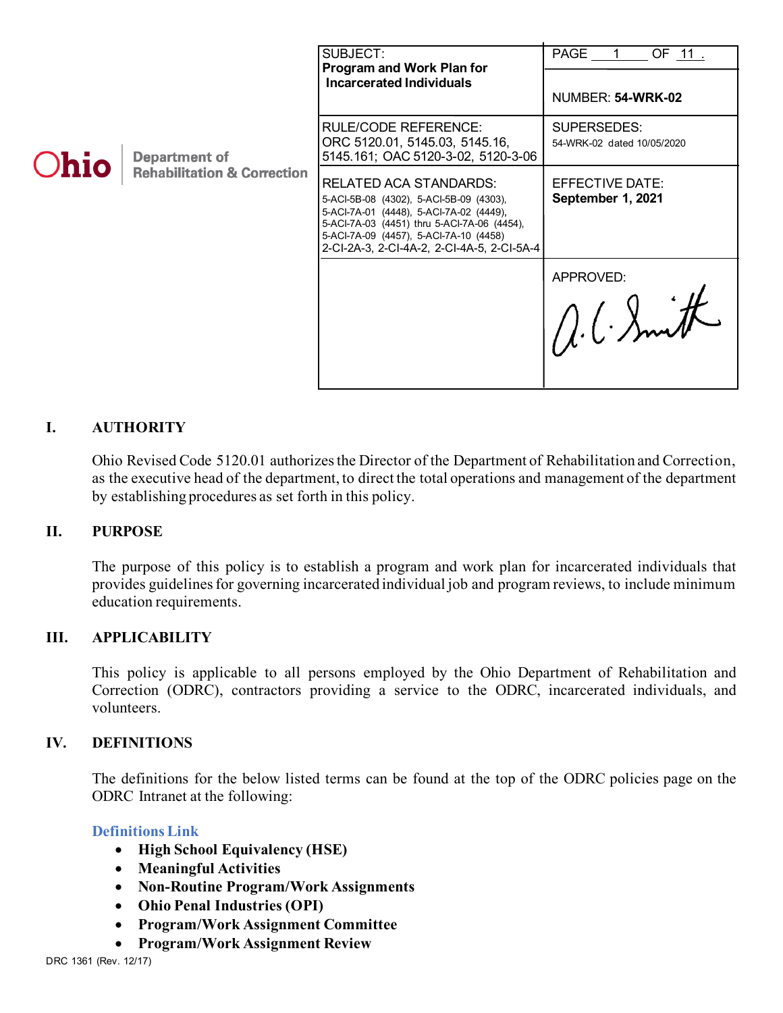| <b>Ohio</b> | <b>Department of</b><br><b>Rehabilitation &amp; Correction</b> | SUBJECT:<br>Program and Work Plan for<br><b>Incarcerated Individuals</b>                                                                                                                                                                            | PAGE 1<br>OF 11.                          |
|-------------|----------------------------------------------------------------|-----------------------------------------------------------------------------------------------------------------------------------------------------------------------------------------------------------------------------------------------------|-------------------------------------------|
|             |                                                                |                                                                                                                                                                                                                                                     | NUMBER: 54-WRK-02                         |
|             |                                                                | <b>RULE/CODE REFERENCE:</b><br>ORC 5120.01, 5145.03, 5145.16,<br>5145.161; OAC 5120-3-02, 5120-3-06                                                                                                                                                 | SUPERSEDES:<br>54-WRK-02 dated 10/05/2020 |
|             |                                                                | RELATED ACA STANDARDS:<br>5-ACI-5B-08 (4302), 5-ACI-5B-09 (4303),<br>5-ACI-7A-01 (4448), 5-ACI-7A-02 (4449),<br>5-ACI-7A-03 (4451) thru 5-ACI-7A-06 (4454),<br>5-ACI-7A-09 (4457), 5-ACI-7A-10 (4458)<br>2-CI-2A-3, 2-CI-4A-2, 2-CI-4A-5, 2-CI-5A-4 | EFFECTIVE DATE:<br>September 1, 2021      |
|             |                                                                |                                                                                                                                                                                                                                                     | APPROVED:<br>A.C. Smith                   |

### **I. AUTHORITY**

Ohio Revised Code 5120.01 authorizes the Director of the Department of Rehabilitation and Correction, as the executive head of the department, to direct the total operations and management of the department by establishing procedures as set forth in this policy.

#### **II. PURPOSE**

The purpose of this policy is to establish a program and work plan for incarcerated individuals that provides guidelines for governing incarcerated individual job and program reviews, to include minimum education requirements.

#### **III. APPLICABILITY**

This policy is applicable to all persons employed by the Ohio Department of Rehabilitation and Correction (ODRC), contractors providing a service to the ODRC, incarcerated individuals, and volunteers.

#### **IV. DEFINITIONS**

The definitions for the below listed terms can be found at the top of the ODRC policies page on the ODRC Intranet at the following:

### **[Definitions Link](http://intra/policies/pagecontent/files/Policy%20Definition%20Spreadsheet%20-%20Intranet%202021.pdf)**

- **High School Equivalency (HSE)**
- **Meaningful Activities**
- **Non-Routine Program/Work Assignments**
- **Ohio Penal Industries (OPI)**
- **Program/Work Assignment Committee**
- **Program/Work Assignment Review**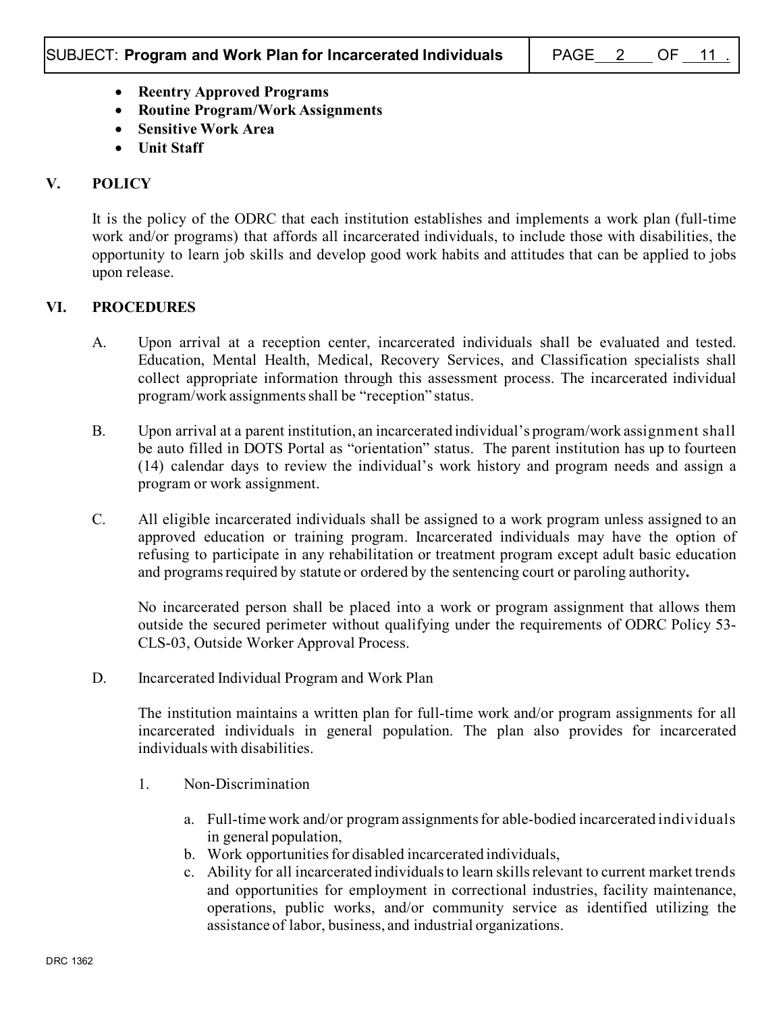- **Reentry Approved Programs**
- **Routine Program/Work Assignments**
- **Sensitive Work Area**
- **Unit Staff**

## **V. POLICY**

It is the policy of the ODRC that each institution establishes and implements a work plan (full-time work and/or programs) that affords all incarcerated individuals, to include those with disabilities, the opportunity to learn job skills and develop good work habits and attitudes that can be applied to jobs upon release.

### **VI. PROCEDURES**

- A. Upon arrival at a reception center, incarcerated individuals shall be evaluated and tested. Education, Mental Health, Medical, Recovery Services, and Classification specialists shall collect appropriate information through this assessment process. The incarcerated individual program/work assignments shall be "reception" status.
- B. Upon arrival at a parent institution, an incarcerated individual's program/work assignment shall be auto filled in DOTS Portal as "orientation" status. The parent institution has up to fourteen (14) calendar days to review the individual's work history and program needs and assign a program or work assignment.
- C. All eligible incarcerated individuals shall be assigned to a work program unless assigned to an approved education or training program. Incarcerated individuals may have the option of refusing to participate in any rehabilitation or treatment program except adult basic education and programs required by statute or ordered by the sentencing court or paroling authority**.**

No incarcerated person shall be placed into a work or program assignment that allows them outside the secured perimeter without qualifying under the requirements of ODRC Policy 53- CLS-03, Outside Worker Approval Process.

D. Incarcerated Individual Program and Work Plan

The institution maintains a written plan for full-time work and/or program assignments for all incarcerated individuals in general population. The plan also provides for incarcerated individuals with disabilities.

- 1. Non-Discrimination
	- a. Full-time work and/or program assignmentsfor able-bodied incarcerated individuals in general population,
	- b. Work opportunities for disabled incarcerated individuals,
	- c. Ability for all incarcerated individualsto learn skills relevant to current market trends and opportunities for employment in correctional industries, facility maintenance, operations, public works, and/or community service as identified utilizing the assistance of labor, business, and industrial organizations.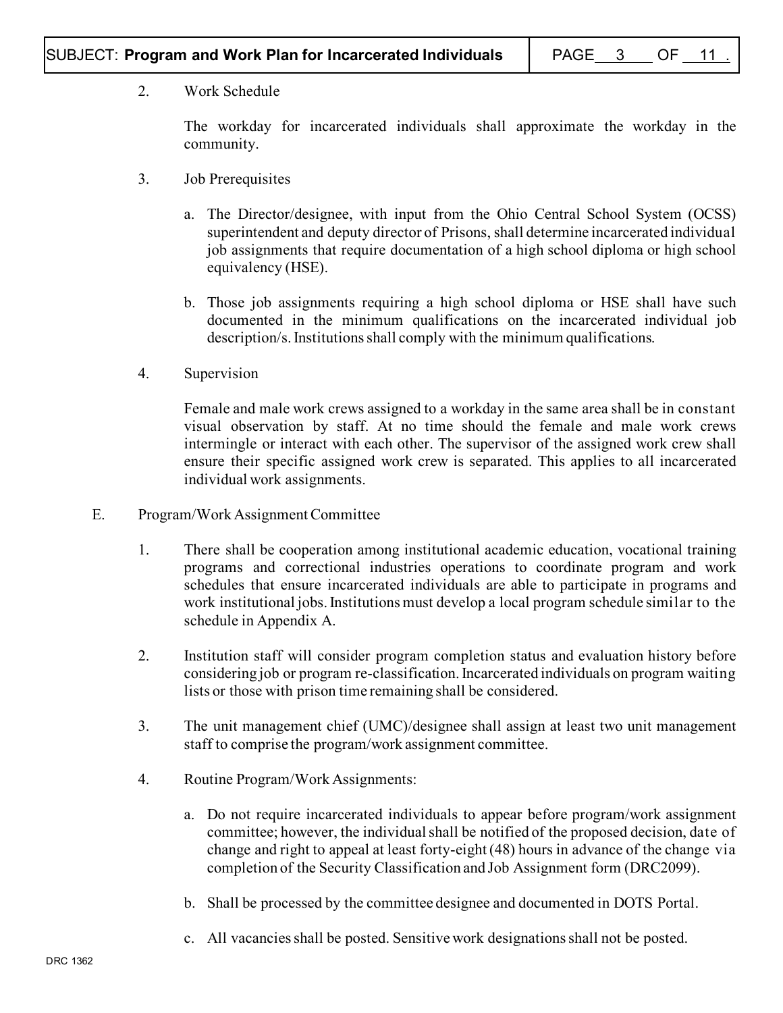## 2. Work Schedule

The workday for incarcerated individuals shall approximate the workday in the community.

- 3. Job Prerequisites
	- a. The Director/designee, with input from the Ohio Central School System (OCSS) superintendent and deputy director of Prisons, shall determine incarcerated individual job assignments that require documentation of a high school diploma or high school equivalency (HSE).
	- b. Those job assignments requiring a high school diploma or HSE shall have such documented in the minimum qualifications on the incarcerated individual job description/s.Institutions shall comply with the minimum qualifications.
- 4. Supervision

Female and male work crews assigned to a workday in the same area shall be in constant visual observation by staff. At no time should the female and male work crews intermingle or interact with each other. The supervisor of the assigned work crew shall ensure their specific assigned work crew is separated. This applies to all incarcerated individual work assignments.

- E. Program/Work Assignment Committee
	- 1. There shall be cooperation among institutional academic education, vocational training programs and correctional industries operations to coordinate program and work schedules that ensure incarcerated individuals are able to participate in programs and work institutional jobs.Institutions must develop a local program schedule similar to the schedule in Appendix A.
	- 2. Institution staff will consider program completion status and evaluation history before considering job or program re-classification. Incarcerated individuals on program waiting lists or those with prison time remaining shall be considered.
	- 3. The unit management chief (UMC)/designee shall assign at least two unit management staff to comprise the program/work assignment committee.
	- 4. Routine Program/Work Assignments:
		- a. Do not require incarcerated individuals to appear before program/work assignment committee; however, the individual shall be notified of the proposed decision, date of change and right to appeal at least forty-eight (48) hours in advance of the change via completion of the Security Classification and Job Assignment form (DRC2099).
		- b. Shall be processed by the committee designee and documented in DOTS Portal.
		- c. All vacancies shall be posted. Sensitive work designations shall not be posted.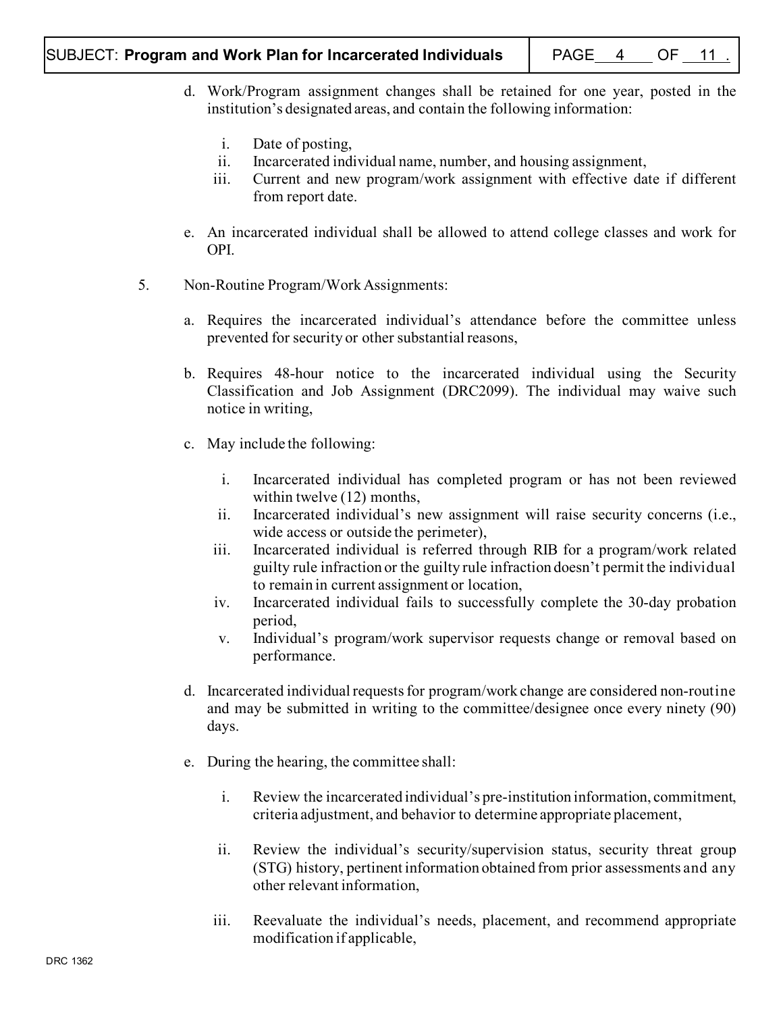- d. Work/Program assignment changes shall be retained for one year, posted in the institution's designated areas, and contain the following information:
	- i. Date of posting,
	- ii. Incarcerated individual name, number, and housing assignment,
	- iii. Current and new program/work assignment with effective date if different from report date.
- e. An incarcerated individual shall be allowed to attend college classes and work for OPI.
- 5. Non-Routine Program/Work Assignments:
	- a. Requires the incarcerated individual's attendance before the committee unless prevented for security or other substantial reasons,
	- b. Requires 48-hour notice to the incarcerated individual using the Security Classification and Job Assignment (DRC2099). The individual may waive such notice in writing,
	- c. May include the following:
		- i. Incarcerated individual has completed program or has not been reviewed within twelve (12) months,
		- ii. Incarcerated individual's new assignment will raise security concerns (i.e., wide access or outside the perimeter),
		- iii. Incarcerated individual is referred through RIB for a program/work related guilty rule infraction or the guilty rule infraction doesn't permit the individual to remain in current assignment or location,
		- iv. Incarcerated individual fails to successfully complete the 30-day probation period,
		- v. Individual's program/work supervisor requests change or removal based on performance.
	- d. Incarcerated individual requests for program/work change are considered non-routine and may be submitted in writing to the committee/designee once every ninety (90) days.
	- e. During the hearing, the committee shall:
		- i. Review the incarcerated individual's pre-institution information, commitment, criteria adjustment, and behavior to determine appropriate placement,
		- ii. Review the individual's security/supervision status, security threat group (STG) history, pertinent information obtained from prior assessments and any other relevant information,
		- iii. Reevaluate the individual's needs, placement, and recommend appropriate modification if applicable,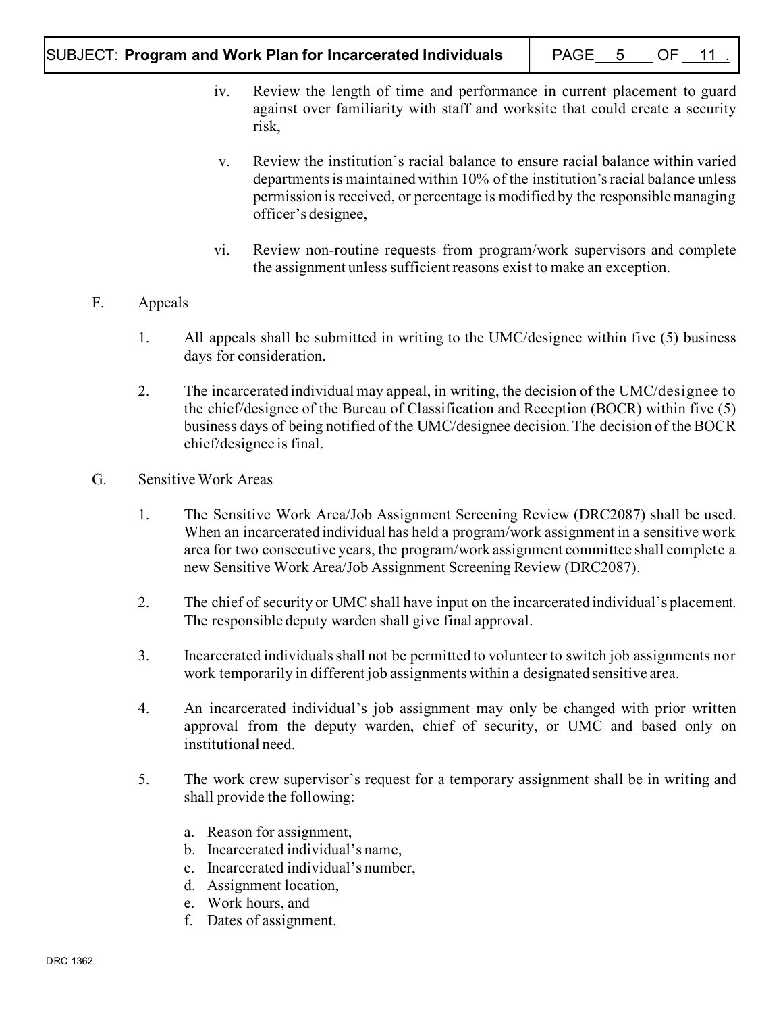- iv. Review the length of time and performance in current placement to guard against over familiarity with staff and worksite that could create a security risk,
- v. Review the institution's racial balance to ensure racial balance within varied departments is maintained within 10% of the institution's racial balance unless permission is received, or percentage is modified by the responsible managing officer's designee,
- vi. Review non-routine requests from program/work supervisors and complete the assignment unless sufficient reasons exist to make an exception.

# F. Appeals

- 1. All appeals shall be submitted in writing to the UMC/designee within five (5) business days for consideration.
- 2. The incarcerated individual may appeal, in writing, the decision of the UMC/designee to the chief/designee of the Bureau of Classification and Reception (BOCR) within five (5) business days of being notified of the UMC/designee decision.The decision of the BOCR chief/designee is final.
- G. Sensitive Work Areas
	- 1. The Sensitive Work Area/Job Assignment Screening Review (DRC2087) shall be used. When an incarcerated individual has held a program/work assignment in a sensitive work area for two consecutive years, the program/work assignment committee shall complete a new Sensitive Work Area/Job Assignment Screening Review (DRC2087).
	- 2. The chief of security or UMC shall have input on the incarcerated individual's placement. The responsible deputy warden shall give final approval.
	- 3. Incarcerated individualsshall not be permitted to volunteer to switch job assignments nor work temporarily in different job assignments within a designated sensitive area.
	- 4. An incarcerated individual's job assignment may only be changed with prior written approval from the deputy warden, chief of security, or UMC and based only on institutional need.
	- 5. The work crew supervisor's request for a temporary assignment shall be in writing and shall provide the following:
		- a. Reason for assignment,
		- b. Incarcerated individual's name,
		- c. Incarcerated individual's number,
		- d. Assignment location,
		- e. Work hours, and
		- f. Dates of assignment.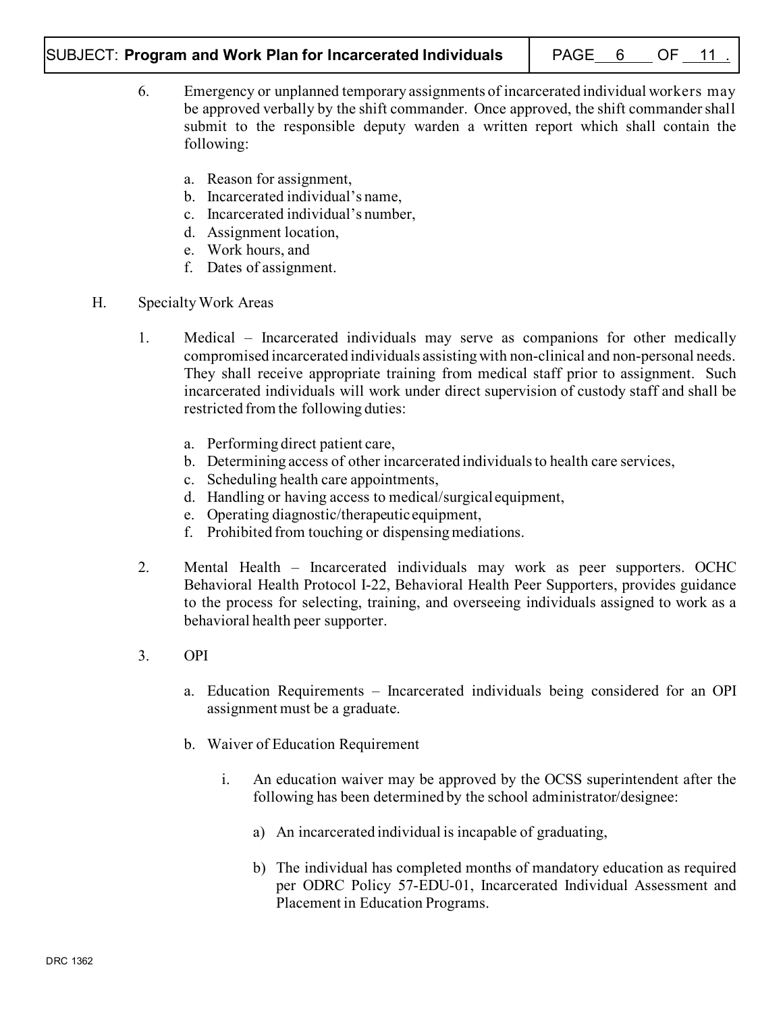## SUBJECT: Program and Work Plan for Incarcerated Individuals | PAGE 6 \_ OF 11

- 6. Emergency or unplanned temporary assignments of incarcerated individual workers may be approved verbally by the shift commander. Once approved, the shift commander shall submit to the responsible deputy warden a written report which shall contain the following:
	- a. Reason for assignment,
	- b. Incarcerated individual's name,
	- c. Incarcerated individual's number,
	- d. Assignment location,
	- e. Work hours, and
	- f. Dates of assignment.
- H. Specialty Work Areas
	- 1. Medical Incarcerated individuals may serve as companions for other medically compromised incarcerated individuals assisting with non-clinical and non-personal needs. They shall receive appropriate training from medical staff prior to assignment. Such incarcerated individuals will work under direct supervision of custody staff and shall be restricted from the following duties:
		- a. Performing direct patient care,
		- b. Determining access of other incarcerated individuals to health care services,
		- c. Scheduling health care appointments,
		- d. Handling or having access to medical/surgical equipment,
		- e. Operating diagnostic/therapeutic equipment,
		- f. Prohibited from touching or dispensing mediations.
	- 2. Mental Health Incarcerated individuals may work as peer supporters. OCHC Behavioral Health Protocol I-22, Behavioral Health Peer Supporters, provides guidance to the process for selecting, training, and overseeing individuals assigned to work as a behavioral health peer supporter.
	- 3. OPI
		- a. Education Requirements Incarcerated individuals being considered for an OPI assignment must be a graduate.
		- b. Waiver of Education Requirement
			- i. An education waiver may be approved by the OCSS superintendent after the following has been determined by the school administrator/designee:
				- a) An incarcerated individual is incapable of graduating,
				- b) The individual has completed months of mandatory education as required per ODRC Policy 57-EDU-01, Incarcerated Individual Assessment and Placement in Education Programs.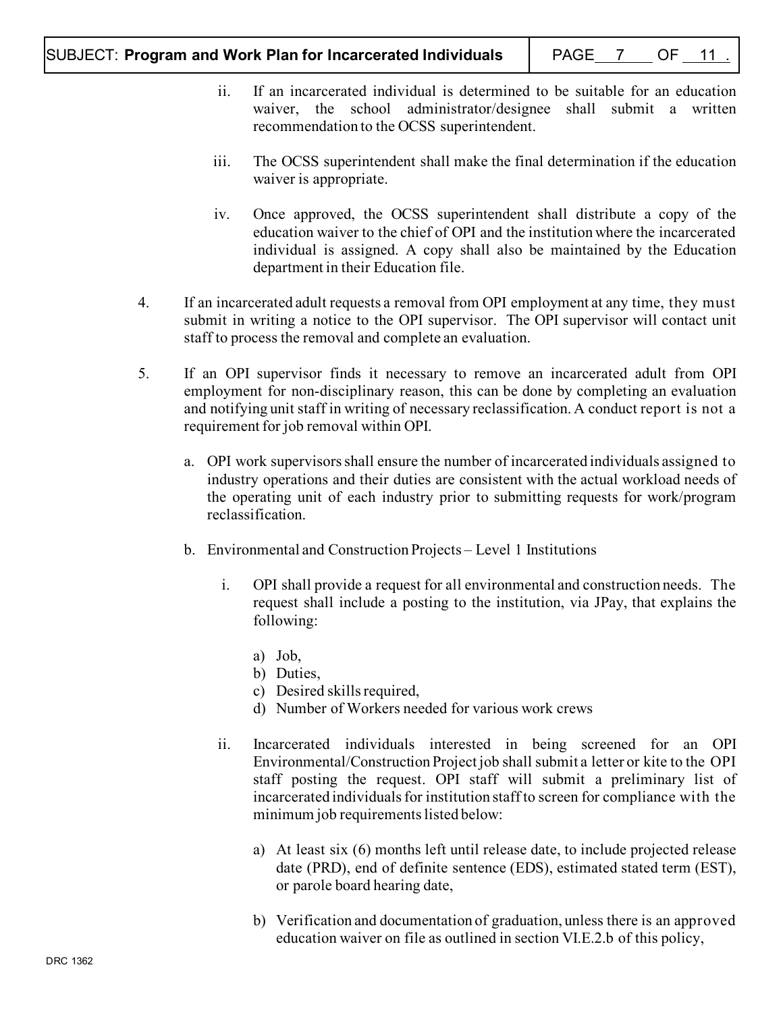- ii. If an incarcerated individual is determined to be suitable for an education waiver, the school administrator/designee shall submit a written recommendation to the OCSS superintendent.
- iii. The OCSS superintendent shall make the final determination if the education waiver is appropriate.
- iv. Once approved, the OCSS superintendent shall distribute a copy of the education waiver to the chief of OPI and the institution where the incarcerated individual is assigned. A copy shall also be maintained by the Education department in their Education file.
- 4. If an incarcerated adult requests a removal from OPI employment at any time, they must submit in writing a notice to the OPI supervisor. The OPI supervisor will contact unit staff to process the removal and complete an evaluation.
- 5. If an OPI supervisor finds it necessary to remove an incarcerated adult from OPI employment for non-disciplinary reason, this can be done by completing an evaluation and notifying unit staff in writing of necessary reclassification. A conduct report is not a requirement for job removal within OPI.
	- a. OPI work supervisors shall ensure the number of incarcerated individuals assigned to industry operations and their duties are consistent with the actual workload needs of the operating unit of each industry prior to submitting requests for work/program reclassification.
	- b. Environmental and Construction Projects Level 1 Institutions
		- i. OPI shall provide a request for all environmental and construction needs. The request shall include a posting to the institution, via JPay, that explains the following:
			- a) Job,
			- b) Duties,
			- c) Desired skills required,
			- d) Number of Workers needed for various work crews
		- ii. Incarcerated individuals interested in being screened for an OPI Environmental/Construction Project job shall submit a letter or kite to the OPI staff posting the request. OPI staff will submit a preliminary list of incarcerated individualsfor institution staff to screen for compliance with the minimum job requirements listed below:
			- a) At least six (6) months left until release date, to include projected release date (PRD), end of definite sentence (EDS), estimated stated term (EST), or parole board hearing date,
			- b) Verification and documentation of graduation, unless there is an approved education waiver on file as outlined in section VI.E.2.b of this policy,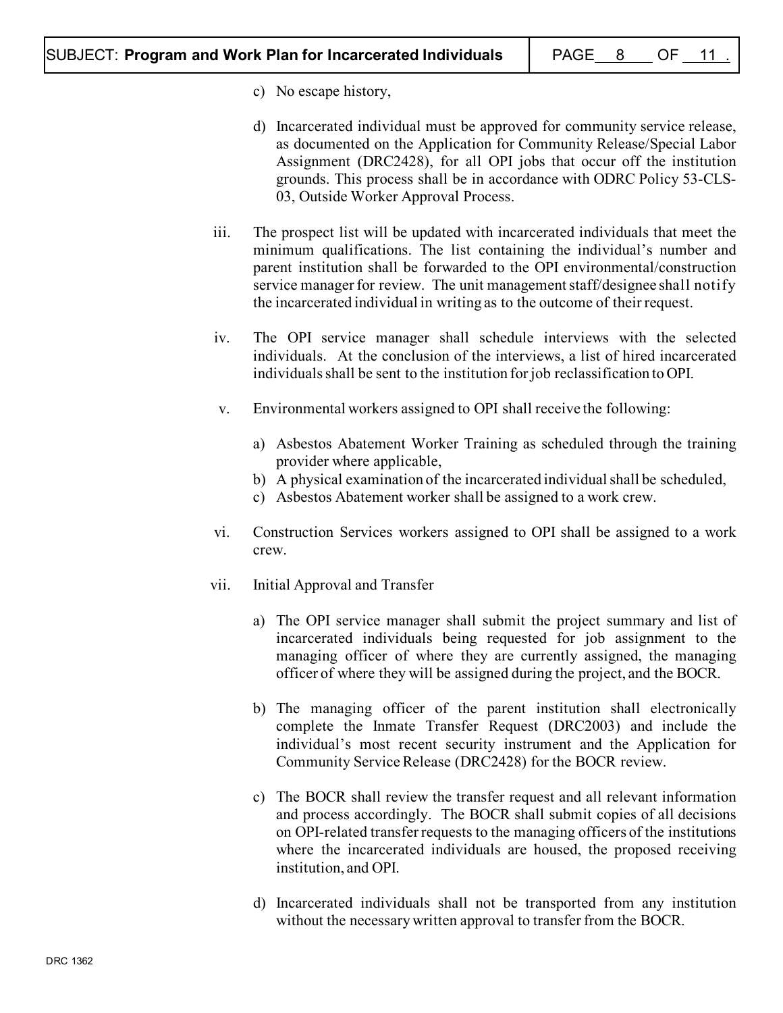- c) No escape history,
- d) Incarcerated individual must be approved for community service release, as documented on the Application for Community Release/Special Labor Assignment (DRC2428), for all OPI jobs that occur off the institution grounds. This process shall be in accordance with ODRC Policy 53-CLS-03, Outside Worker Approval Process.
- iii. The prospect list will be updated with incarcerated individuals that meet the minimum qualifications. The list containing the individual's number and parent institution shall be forwarded to the OPI environmental/construction service manager for review. The unit management staff/designee shall notify the incarcerated individual in writing as to the outcome of their request.
- iv. The OPI service manager shall schedule interviews with the selected individuals. At the conclusion of the interviews, a list of hired incarcerated individuals shall be sent to the institution for job reclassification to OPI.
- v. Environmental workers assigned to OPI shall receive the following:
	- a) Asbestos Abatement Worker Training as scheduled through the training provider where applicable,
	- b) A physical examination of the incarcerated individual shall be scheduled,
	- c) Asbestos Abatement worker shall be assigned to a work crew.
- vi. Construction Services workers assigned to OPI shall be assigned to a work crew.
- vii. Initial Approval and Transfer
	- a) The OPI service manager shall submit the project summary and list of incarcerated individuals being requested for job assignment to the managing officer of where they are currently assigned, the managing officer of where they will be assigned during the project, and the BOCR.
	- b) The managing officer of the parent institution shall electronically complete the Inmate Transfer Request (DRC2003) and include the individual's most recent security instrument and the Application for Community Service Release (DRC2428) for the BOCR review.
	- c) The BOCR shall review the transfer request and all relevant information and process accordingly. The BOCR shall submit copies of all decisions on OPI-related transfer requests to the managing officers of the institutions where the incarcerated individuals are housed, the proposed receiving institution, and OPI.
	- d) Incarcerated individuals shall not be transported from any institution without the necessary written approval to transfer from the BOCR.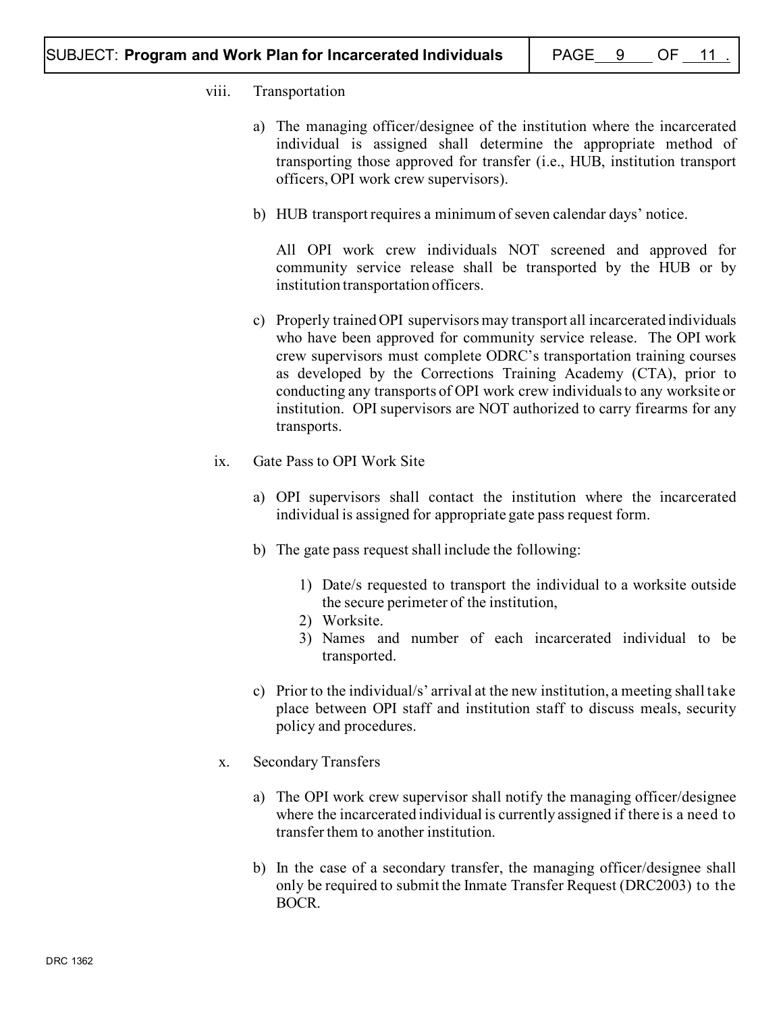### viii. Transportation

- a) The managing officer/designee of the institution where the incarcerated individual is assigned shall determine the appropriate method of transporting those approved for transfer (i.e., HUB, institution transport officers, OPI work crew supervisors).
- b) HUB transport requires a minimum of seven calendar days' notice.

All OPI work crew individuals NOT screened and approved for community service release shall be transported by the HUB or by institution transportation officers.

- c) Properly trained OPI supervisors may transport all incarcerated individuals who have been approved for community service release. The OPI work crew supervisors must complete ODRC's transportation training courses as developed by the Corrections Training Academy (CTA), prior to conducting any transports of OPI work crew individualsto any worksite or institution. OPI supervisors are NOT authorized to carry firearms for any transports.
- ix. Gate Pass to OPI Work Site
	- a) OPI supervisors shall contact the institution where the incarcerated individual is assigned for appropriate gate pass request form.
	- b) The gate pass request shall include the following:
		- 1) Date/s requested to transport the individual to a worksite outside the secure perimeter of the institution,
		- 2) Worksite.
		- 3) Names and number of each incarcerated individual to be transported.
	- c) Prior to the individual/s' arrival at the new institution, a meeting shall take place between OPI staff and institution staff to discuss meals, security policy and procedures.
- x. Secondary Transfers
	- a) The OPI work crew supervisor shall notify the managing officer/designee where the incarcerated individual is currently assigned if there is a need to transfer them to another institution.
	- b) In the case of a secondary transfer, the managing officer/designee shall only be required to submit the Inmate Transfer Request (DRC2003) to the BOCR.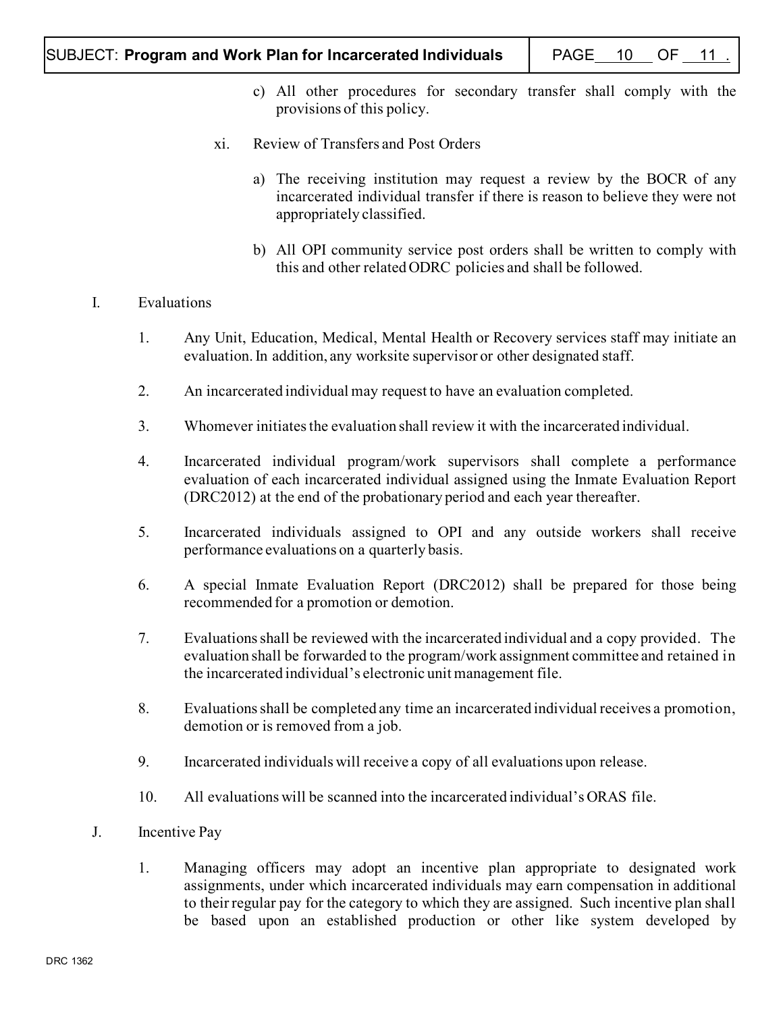- c) All other procedures for secondary transfer shall comply with the provisions of this policy.
- xi. Review of Transfers and Post Orders
	- a) The receiving institution may request a review by the BOCR of any incarcerated individual transfer if there is reason to believe they were not appropriately classified.
	- b) All OPI community service post orders shall be written to comply with this and other related ODRC policies and shall be followed.

## I. Evaluations

- 1. Any Unit, Education, Medical, Mental Health or Recovery services staff may initiate an evaluation. In addition, any worksite supervisor or other designated staff.
- 2. An incarcerated individual may request to have an evaluation completed.
- 3. Whomever initiates the evaluation shall review it with the incarcerated individual.
- 4. Incarcerated individual program/work supervisors shall complete a performance evaluation of each incarcerated individual assigned using the Inmate Evaluation Report (DRC2012) at the end of the probationary period and each year thereafter.
- 5. Incarcerated individuals assigned to OPI and any outside workers shall receive performance evaluations on a quarterly basis.
- 6. A special Inmate Evaluation Report (DRC2012) shall be prepared for those being recommended for a promotion or demotion.
- 7. Evaluations shall be reviewed with the incarcerated individual and a copy provided. The evaluation shall be forwarded to the program/work assignment committee and retained in the incarcerated individual's electronic unit management file.
- 8. Evaluations shall be completed any time an incarcerated individual receives a promotion, demotion or is removed from a job.
- 9. Incarcerated individuals will receive a copy of all evaluations upon release.
- 10. All evaluations will be scanned into the incarcerated individual's ORAS file.
- J. Incentive Pay
	- 1. Managing officers may adopt an incentive plan appropriate to designated work assignments, under which incarcerated individuals may earn compensation in additional to their regular pay for the category to which they are assigned. Such incentive plan shall be based upon an established production or other like system developed by